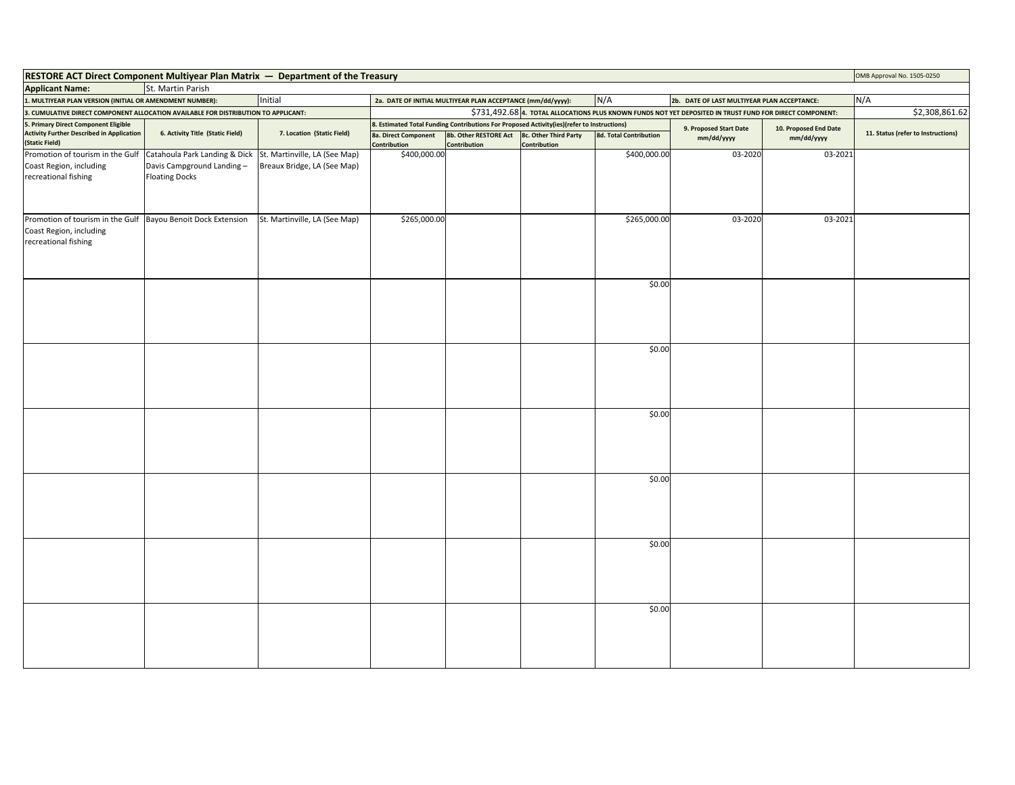| RESTORE ACT Direct Component Multiyear Plan Matrix - Department of the Treasury                                 |                                                    |                               |                                      |                                                                                            |                                       |                               |                                                                                                          |                                     | OMB Approval No. 1505-0250         |
|-----------------------------------------------------------------------------------------------------------------|----------------------------------------------------|-------------------------------|--------------------------------------|--------------------------------------------------------------------------------------------|---------------------------------------|-------------------------------|----------------------------------------------------------------------------------------------------------|-------------------------------------|------------------------------------|
| <b>Applicant Name:</b>                                                                                          | St. Martin Parish                                  |                               |                                      |                                                                                            |                                       |                               |                                                                                                          |                                     |                                    |
| 1. MULTIYEAR PLAN VERSION (INITIAL OR AMENDMENT NUMBER):                                                        |                                                    | Initial                       |                                      | 2a. DATE OF INITIAL MULTIYEAR PLAN ACCEPTANCE (mm/dd/yyyy):                                |                                       | N/A                           | 2b. DATE OF LAST MULTIYEAR PLAN ACCEPTANCE:                                                              |                                     | N/A                                |
| 3. CUMULATIVE DIRECT COMPONENT ALLOCATION AVAILABLE FOR DISTRIBUTION TO APPLICANT:                              |                                                    |                               |                                      |                                                                                            |                                       |                               | \$731,492.68 4. TOTAL ALLOCATIONS PLUS KNOWN FUNDS NOT YET DEPOSITED IN TRUST FUND FOR DIRECT COMPONENT: |                                     | \$2,308,861.62                     |
| 5. Primary Direct Component Eligible                                                                            |                                                    |                               |                                      | 8. Estimated Total Funding Contributions For Proposed Activity(ies)(refer to Instructions) |                                       |                               |                                                                                                          |                                     |                                    |
| <b>Activity Further Described in Application</b><br>(Static Field)                                              | 6. Activity Title (Static Field)                   | 7. Location (Static Field)    | 8a. Direct Component<br>Contribution | 8b. Other RESTORE Act<br>Contribution                                                      | 8c. Other Third Party<br>Contribution | <b>8d. Total Contribution</b> | 9. Proposed Start Date<br>mm/dd/yyyy                                                                     | 10. Proposed End Date<br>mm/dd/yyyy | 11. Status (refer to Instructions) |
| Promotion of tourism in the Gulf                                                                                | Catahoula Park Landing & Dick                      | St. Martinville, LA (See Map) | \$400,000.00                         |                                                                                            |                                       | \$400,000.00                  | 03-2020                                                                                                  | 03-2021                             |                                    |
| Coast Region, including<br>recreational fishing                                                                 | Davis Campground Landing-<br><b>Floating Docks</b> | Breaux Bridge, LA (See Map)   |                                      |                                                                                            |                                       |                               |                                                                                                          |                                     |                                    |
| Promotion of tourism in the Gulf Bayou Benoit Dock Extension<br>Coast Region, including<br>recreational fishing |                                                    | St. Martinville, LA (See Map) | \$265,000.00                         |                                                                                            |                                       | \$265,000.00                  | 03-2020                                                                                                  | 03-2021                             |                                    |
|                                                                                                                 |                                                    |                               |                                      |                                                                                            |                                       | \$0.00                        |                                                                                                          |                                     |                                    |
|                                                                                                                 |                                                    |                               |                                      |                                                                                            |                                       | \$0.00                        |                                                                                                          |                                     |                                    |
|                                                                                                                 |                                                    |                               |                                      |                                                                                            |                                       |                               |                                                                                                          |                                     |                                    |
|                                                                                                                 |                                                    |                               |                                      |                                                                                            |                                       | \$0.00                        |                                                                                                          |                                     |                                    |
|                                                                                                                 |                                                    |                               |                                      |                                                                                            |                                       |                               |                                                                                                          |                                     |                                    |
|                                                                                                                 |                                                    |                               |                                      |                                                                                            |                                       | \$0.00                        |                                                                                                          |                                     |                                    |
|                                                                                                                 |                                                    |                               |                                      |                                                                                            |                                       | \$0.00                        |                                                                                                          |                                     |                                    |
|                                                                                                                 |                                                    |                               |                                      |                                                                                            |                                       | \$0.00                        |                                                                                                          |                                     |                                    |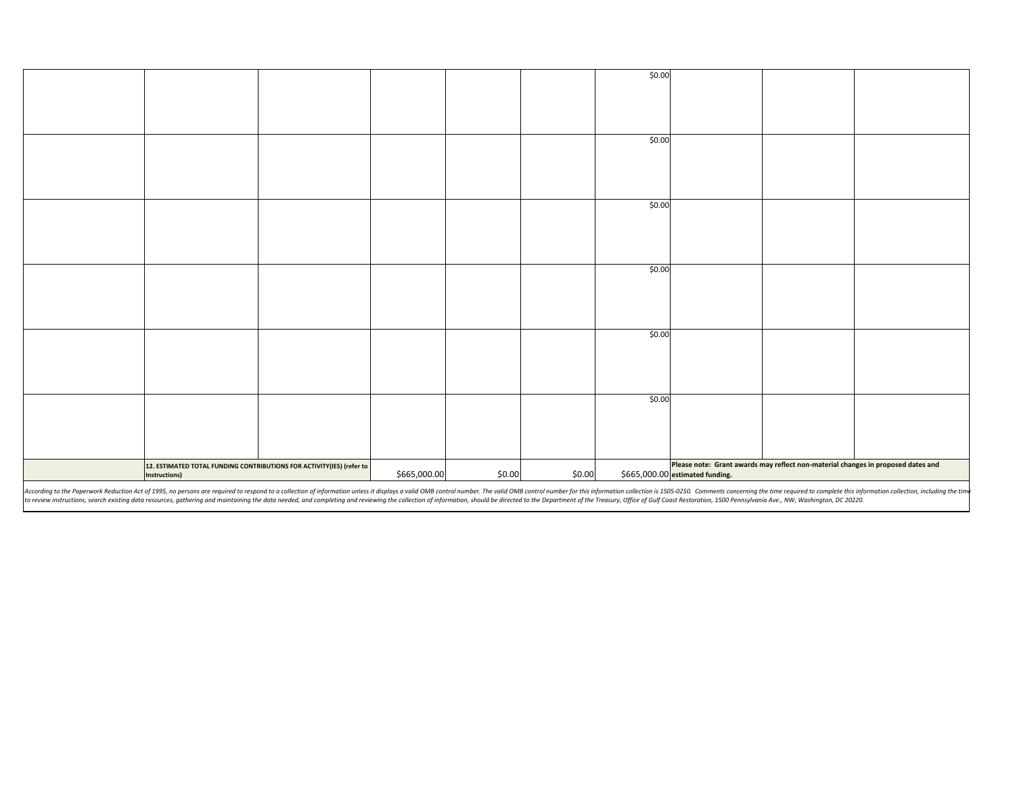|                                                                                                                                                                                                                                |                      |                                                                       |              |        |        | \$0.00 |                                                                                  |  |
|--------------------------------------------------------------------------------------------------------------------------------------------------------------------------------------------------------------------------------|----------------------|-----------------------------------------------------------------------|--------------|--------|--------|--------|----------------------------------------------------------------------------------|--|
|                                                                                                                                                                                                                                |                      |                                                                       |              |        |        |        |                                                                                  |  |
|                                                                                                                                                                                                                                |                      |                                                                       |              |        |        |        |                                                                                  |  |
|                                                                                                                                                                                                                                |                      |                                                                       |              |        |        |        |                                                                                  |  |
|                                                                                                                                                                                                                                |                      |                                                                       |              |        |        |        |                                                                                  |  |
|                                                                                                                                                                                                                                |                      |                                                                       |              |        |        | \$0.00 |                                                                                  |  |
|                                                                                                                                                                                                                                |                      |                                                                       |              |        |        |        |                                                                                  |  |
|                                                                                                                                                                                                                                |                      |                                                                       |              |        |        |        |                                                                                  |  |
|                                                                                                                                                                                                                                |                      |                                                                       |              |        |        |        |                                                                                  |  |
|                                                                                                                                                                                                                                |                      |                                                                       |              |        |        |        |                                                                                  |  |
|                                                                                                                                                                                                                                |                      |                                                                       |              |        |        |        |                                                                                  |  |
|                                                                                                                                                                                                                                |                      |                                                                       |              |        |        | \$0.00 |                                                                                  |  |
|                                                                                                                                                                                                                                |                      |                                                                       |              |        |        |        |                                                                                  |  |
|                                                                                                                                                                                                                                |                      |                                                                       |              |        |        |        |                                                                                  |  |
|                                                                                                                                                                                                                                |                      |                                                                       |              |        |        |        |                                                                                  |  |
|                                                                                                                                                                                                                                |                      |                                                                       |              |        |        |        |                                                                                  |  |
|                                                                                                                                                                                                                                |                      |                                                                       |              |        |        | \$0.00 |                                                                                  |  |
|                                                                                                                                                                                                                                |                      |                                                                       |              |        |        |        |                                                                                  |  |
|                                                                                                                                                                                                                                |                      |                                                                       |              |        |        |        |                                                                                  |  |
|                                                                                                                                                                                                                                |                      |                                                                       |              |        |        |        |                                                                                  |  |
|                                                                                                                                                                                                                                |                      |                                                                       |              |        |        |        |                                                                                  |  |
|                                                                                                                                                                                                                                |                      |                                                                       |              |        |        |        |                                                                                  |  |
|                                                                                                                                                                                                                                |                      |                                                                       |              |        |        | \$0.00 |                                                                                  |  |
|                                                                                                                                                                                                                                |                      |                                                                       |              |        |        |        |                                                                                  |  |
|                                                                                                                                                                                                                                |                      |                                                                       |              |        |        |        |                                                                                  |  |
|                                                                                                                                                                                                                                |                      |                                                                       |              |        |        |        |                                                                                  |  |
|                                                                                                                                                                                                                                |                      |                                                                       |              |        |        |        |                                                                                  |  |
|                                                                                                                                                                                                                                |                      |                                                                       |              |        |        | \$0.00 |                                                                                  |  |
|                                                                                                                                                                                                                                |                      |                                                                       |              |        |        |        |                                                                                  |  |
|                                                                                                                                                                                                                                |                      |                                                                       |              |        |        |        |                                                                                  |  |
|                                                                                                                                                                                                                                |                      |                                                                       |              |        |        |        |                                                                                  |  |
|                                                                                                                                                                                                                                |                      |                                                                       |              |        |        |        |                                                                                  |  |
|                                                                                                                                                                                                                                |                      |                                                                       |              |        |        |        |                                                                                  |  |
|                                                                                                                                                                                                                                |                      | 12. ESTIMATED TOTAL FUNDING CONTRIBUTIONS FOR ACTIVITY(IES) (refer to |              |        |        |        | Please note: Grant awards may reflect non-material changes in proposed dates and |  |
|                                                                                                                                                                                                                                | <b>Instructions)</b> |                                                                       | \$665,000.00 | \$0.00 | \$0.00 |        | \$665,000.00 estimated funding.                                                  |  |
| According to the Paperwork Reduction Act of 1995, no persons are required to respond to a collection of information unless it displays a valid OMB control number. The valid OMB control number for this information collectio |                      |                                                                       |              |        |        |        |                                                                                  |  |

According to the Paperwork Reduction Act of 1995, no persons are required to respond to a collection of information unless it displays a valid OMB control number. The valid OMB control number for this information is 1505-0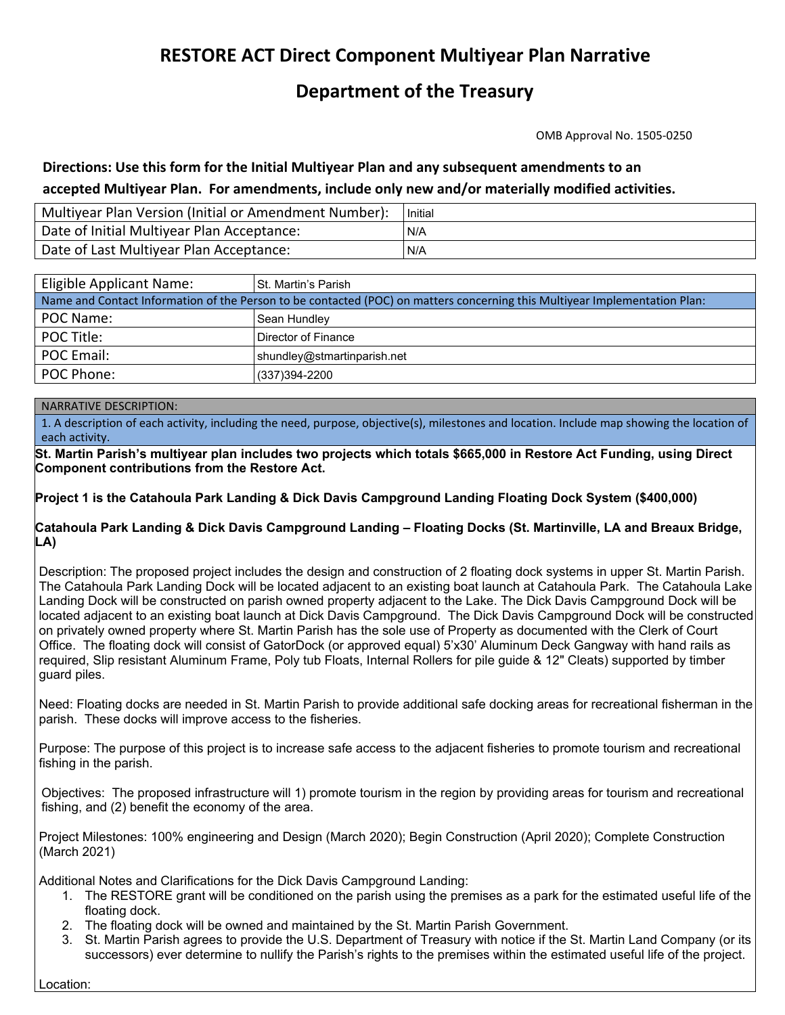## **RESTORE ACT Direct Component Multiyear Plan Narrative**

## **Department of the Treasury**

OMB Approval No. 1505‐0250

### **Directions: Use this form for the Initial Multiyear Plan and any subsequent amendments to an accepted Multiyear Plan. For amendments, include only new and/or materially modified activities.**

| Multiyear Plan Version (Initial or Amendment Number): | Initial |
|-------------------------------------------------------|---------|
| Date of Initial Multiyear Plan Acceptance:            | N/A     |
| Date of Last Multiyear Plan Acceptance:               | IN/A    |

| Eligible Applicant Name:                                                                                                   | St. Martin's Parish         |  |  |  |  |
|----------------------------------------------------------------------------------------------------------------------------|-----------------------------|--|--|--|--|
| Name and Contact Information of the Person to be contacted (POC) on matters concerning this Multiyear Implementation Plan: |                             |  |  |  |  |
| POC Name:                                                                                                                  | Sean Hundley                |  |  |  |  |
| POC Title:                                                                                                                 | Director of Finance         |  |  |  |  |
| POC Email:                                                                                                                 | shundley@stmartinparish.net |  |  |  |  |
| POC Phone:                                                                                                                 | (337) 394-2200              |  |  |  |  |

### NARRATIVE DESCRIPTION:

1. A description of each activity, including the need, purpose, objective(s), milestones and location. Include map showing the location of each activity.

**St. Martin Parish's multiyear plan includes two projects which totals \$665,000 in Restore Act Funding, using Direct Component contributions from the Restore Act.** 

**Project 1 is the Catahoula Park Landing & Dick Davis Campground Landing Floating Dock System (\$400,000)** 

**Catahoula Park Landing & Dick Davis Campground Landing – Floating Docks (St. Martinville, LA and Breaux Bridge, LA)** 

Description: The proposed project includes the design and construction of 2 floating dock systems in upper St. Martin Parish. The Catahoula Park Landing Dock will be located adjacent to an existing boat launch at Catahoula Park. The Catahoula Lake Landing Dock will be constructed on parish owned property adjacent to the Lake. The Dick Davis Campground Dock will be located adjacent to an existing boat launch at Dick Davis Campground. The Dick Davis Campground Dock will be constructed on privately owned property where St. Martin Parish has the sole use of Property as documented with the Clerk of Court Office. The floating dock will consist of GatorDock (or approved equal) 5'x30' Aluminum Deck Gangway with hand rails as required, Slip resistant Aluminum Frame, Poly tub Floats, Internal Rollers for pile guide & 12" Cleats) supported by timber guard piles.

Need: Floating docks are needed in St. Martin Parish to provide additional safe docking areas for recreational fisherman in the parish. These docks will improve access to the fisheries.

Purpose: The purpose of this project is to increase safe access to the adjacent fisheries to promote tourism and recreational fishing in the parish.

Objectives: The proposed infrastructure will 1) promote tourism in the region by providing areas for tourism and recreational fishing, and (2) benefit the economy of the area.

Project Milestones: 100% engineering and Design (March 2020); Begin Construction (April 2020); Complete Construction (March 2021)

Additional Notes and Clarifications for the Dick Davis Campground Landing:

- floating dock. 1. The RESTORE grant will be conditioned on the parish using the premises as a park for the estimated useful life of the
- 2. The floating dock will be owned and maintained by the St. Martin Parish Government.
- 3. St. Martin Parish agrees to provide the U.S. Department of Treasury with notice if the St. Martin Land Company (or its successors) ever determine to nullify the Parish's rights to the premises within the estimated useful life of the project.

Location: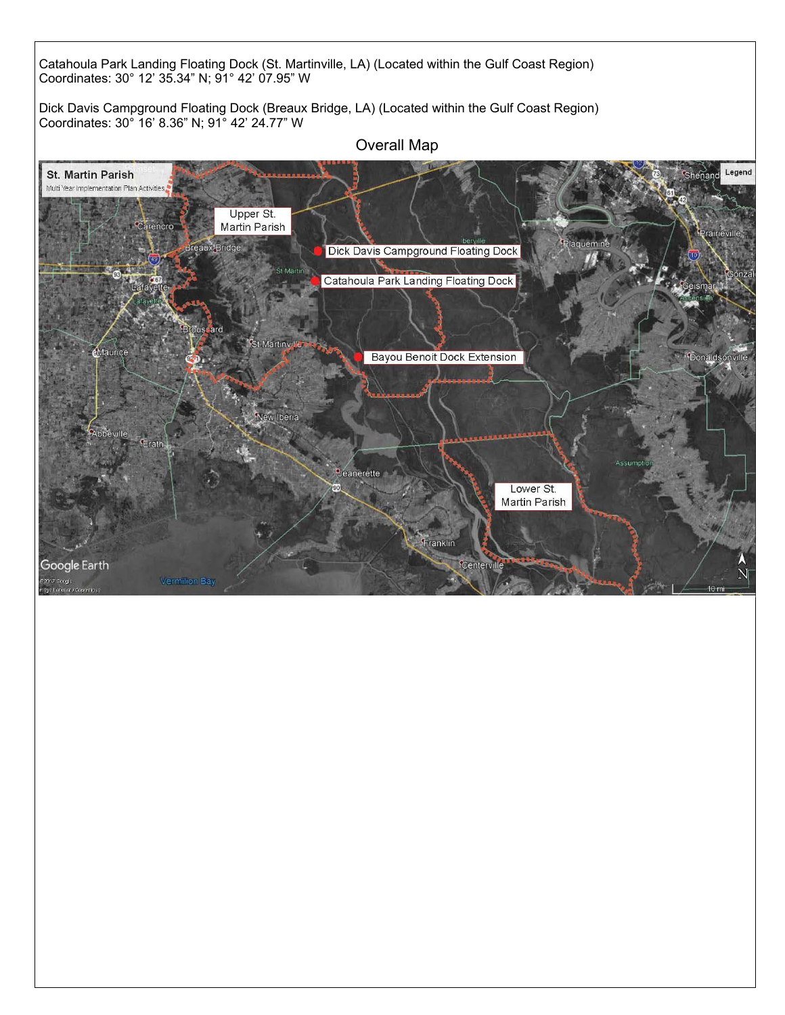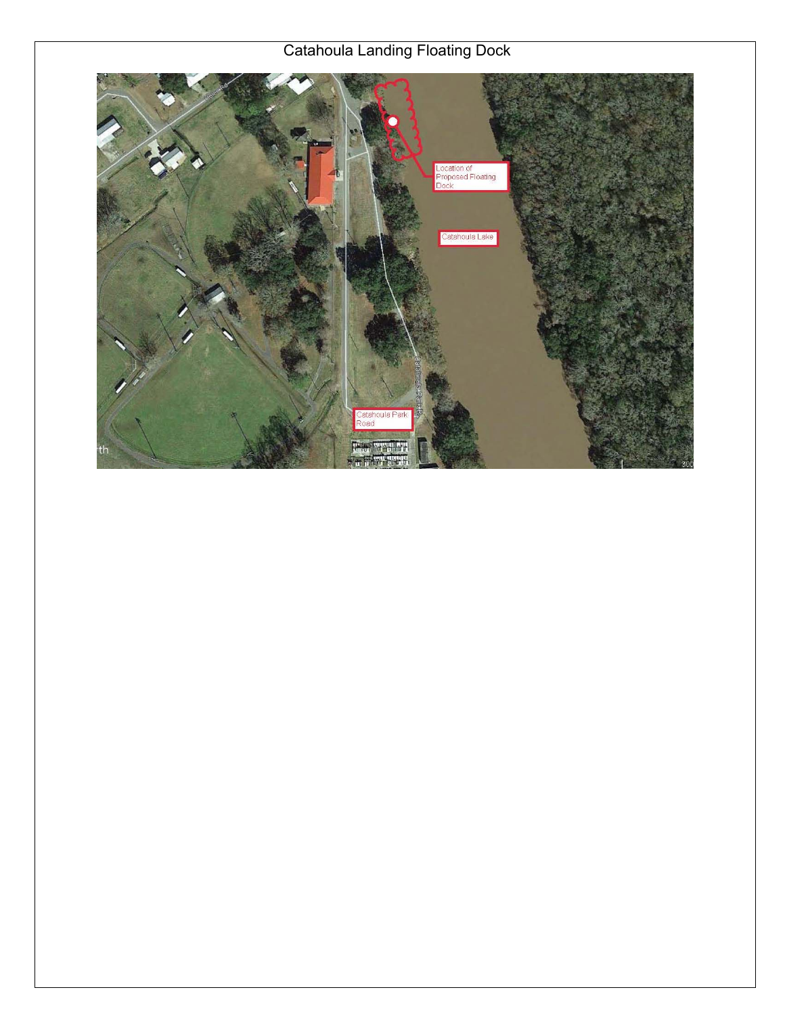# Catahoula Landing Floating Dock

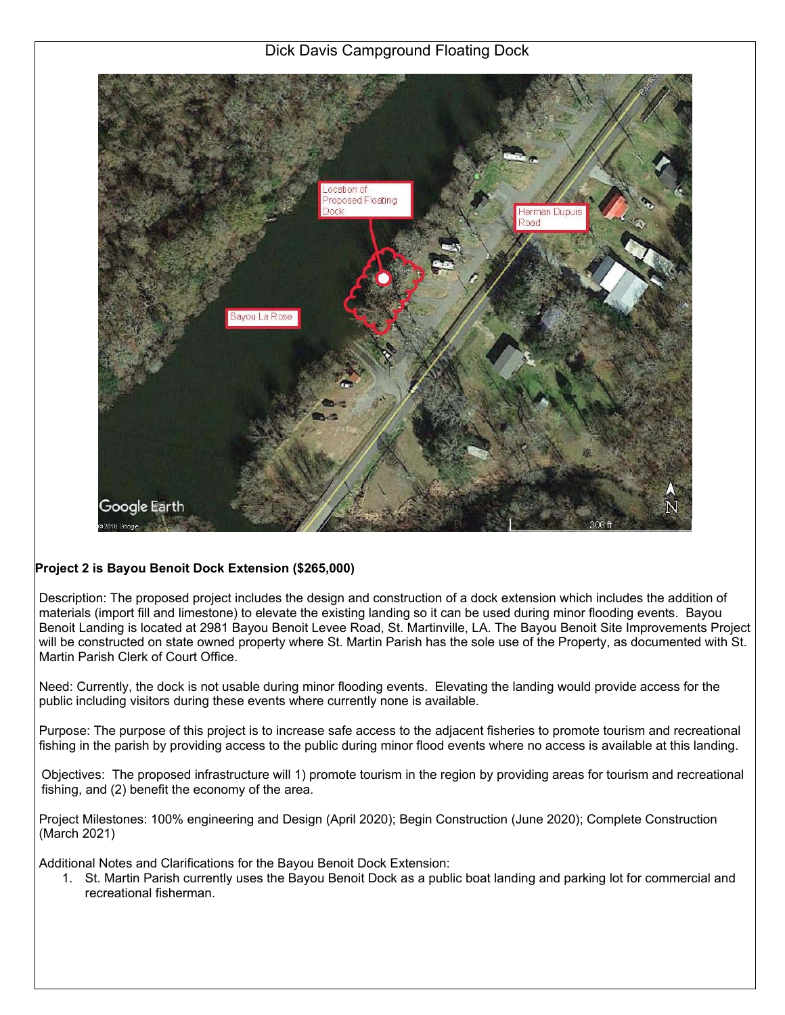Dick Davis Campground Floating Dock



### **Project 2 is Bayou Benoit Dock Extension (\$265,000)**

Description: The proposed project includes the design and construction of a dock extension which includes the addition of materials (import fill and limestone) to elevate the existing landing so it can be used during minor flooding events. Bayou Benoit Landing is located at 2981 Bayou Benoit Levee Road, St. Martinville, LA. The Bayou Benoit Site Improvements Project will be constructed on state owned property where St. Martin Parish has the sole use of the Property, as documented with St. Martin Parish Clerk of Court Office.

Need: Currently, the dock is not usable during minor flooding events. Elevating the landing would provide access for the public including visitors during these events where currently none is available.

Purpose: The purpose of this project is to increase safe access to the adjacent fisheries to promote tourism and recreational fishing in the parish by providing access to the public during minor flood events where no access is available at this landing.

Objectives: The proposed infrastructure will 1) promote tourism in the region by providing areas for tourism and recreational fishing, and (2) benefit the economy of the area.

Project Milestones: 100% engineering and Design (April 2020); Begin Construction (June 2020); Complete Construction (March 2021)

Additional Notes and Clarifications for the Bayou Benoit Dock Extension:

1. St. Martin Parish currently uses the Bayou Benoit Dock as a public boat landing and parking lot for commercial and recreational fisherman.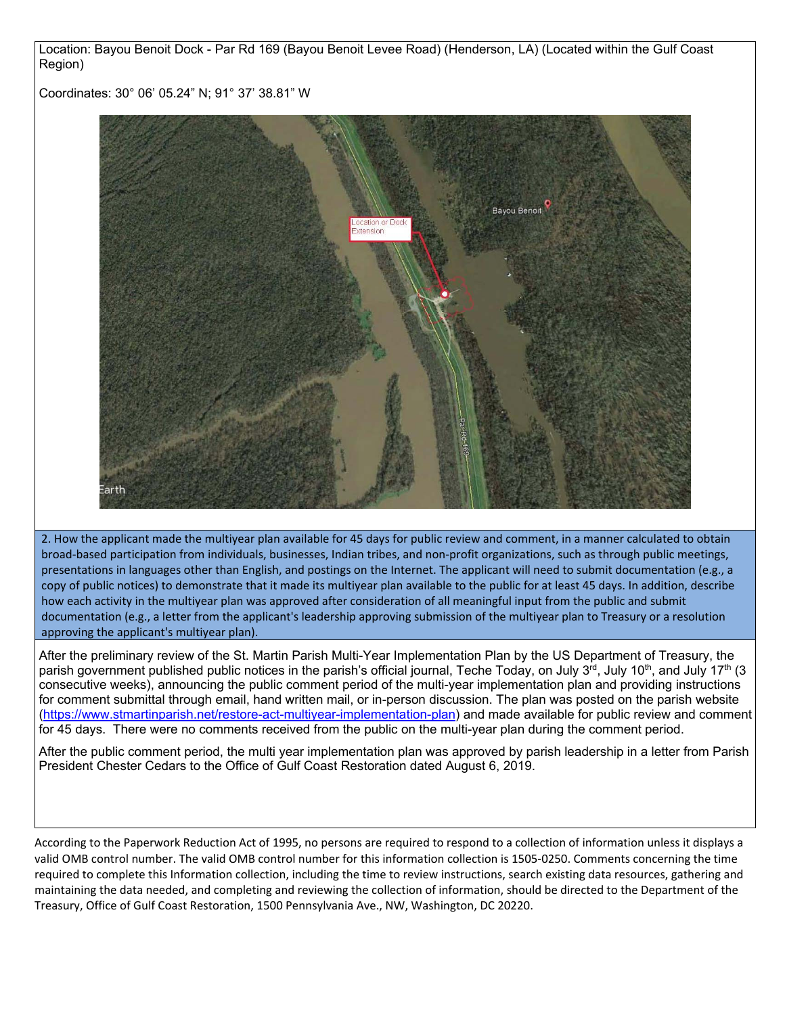Location: Bayou Benoit Dock - Par Rd 169 (Bayou Benoit Levee Road) (Henderson, LA) (Located within the Gulf Coast Region)

Coordinates: 30° 06' 05.24" N; 91° 37' 38.81" W



 2. How the applicant made the multiyear plan available for 45 days for public review and comment, in a manner calculated to obtain broad‐based participation from individuals, businesses, Indian tribes, and non‐profit organizations, such as through public meetings, presentations in languages other than English, and postings on the Internet. The applicant will need to submit documentation (e.g., a copy of public notices) to demonstrate that it made its multiyear plan available to the public for at least 45 days. In addition, describe how each activity in the multiyear plan was approved after consideration of all meaningful input from the public and submit documentation (e.g., a letter from the applicant's leadership approving submission of the multiyear plan to Treasury or a resolution approving the applicant's multiyear plan).

After the preliminary review of the St. Martin Parish Multi-Year Implementation Plan by the US Department of Treasury, the parish government published public notices in the parish's official journal, Teche Today, on July 3<sup>rd</sup>, July 10<sup>th</sup>, and July 17<sup>th</sup> (3 consecutive weeks), announcing the public comment period of the multi-year implementation plan and providing instructions for comment submittal through email, hand written mail, or in-person discussion. The plan was posted on the parish website (https://www.stmartinparish.net/restore-act-multiyear-implementation-plan) and made available for public review and comment for 45 days. There were no comments received from the public on the multi-year plan during the comment period.

After the public comment period, the multi year implementation plan was approved by parish leadership in a letter from Parish President Chester Cedars to the Office of Gulf Coast Restoration dated August 6, 2019.

 required to complete this Information collection, including the time to review instructions, search existing data resources, gathering and According to the Paperwork Reduction Act of 1995, no persons are required to respond to a collection of information unless it displays a valid OMB control number. The valid OMB control number for this information collection is 1505‐0250. Comments concerning the time maintaining the data needed, and completing and reviewing the collection of information, should be directed to the Department of the Treasury, Office of Gulf Coast Restoration, 1500 Pennsylvania Ave., NW, Washington, DC 20220.